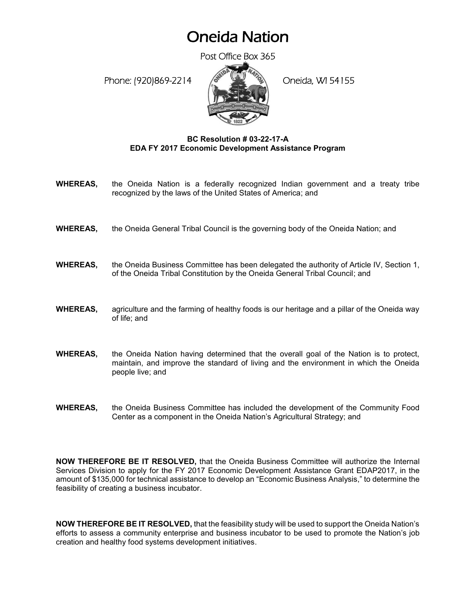## Oneida Nation

Post Office Box 365

Phone: (920)869-2214 (8 April 2) Oneida, WI 54155



## **BC Resolution # 03-22-17-A EDA FY 2017 Economic Development Assistance Program**

- **WHEREAS,** the Oneida Nation is a federally recognized Indian government and a treaty tribe recognized by the laws of the United States of America; and
- **WHEREAS,** the Oneida General Tribal Council is the governing body of the Oneida Nation; and
- **WHEREAS,** the Oneida Business Committee has been delegated the authority of Article IV, Section 1, of the Oneida Tribal Constitution by the Oneida General Tribal Council; and
- **WHEREAS,** agriculture and the farming of healthy foods is our heritage and a pillar of the Oneida way of life; and
- **WHEREAS,** the Oneida Nation having determined that the overall goal of the Nation is to protect, maintain, and improve the standard of living and the environment in which the Oneida people live; and
- **WHEREAS,** the Oneida Business Committee has included the development of the Community Food Center as a component in the Oneida Nation's Agricultural Strategy; and

**NOW THEREFORE BE IT RESOLVED,** that the Oneida Business Committee will authorize the Internal Services Division to apply for the FY 2017 Economic Development Assistance Grant EDAP2017, in the amount of \$135,000 for technical assistance to develop an "Economic Business Analysis," to determine the feasibility of creating a business incubator.

**NOW THEREFORE BE IT RESOLVED,** that the feasibility study will be used to support the Oneida Nation's efforts to assess a community enterprise and business incubator to be used to promote the Nation's job creation and healthy food systems development initiatives.